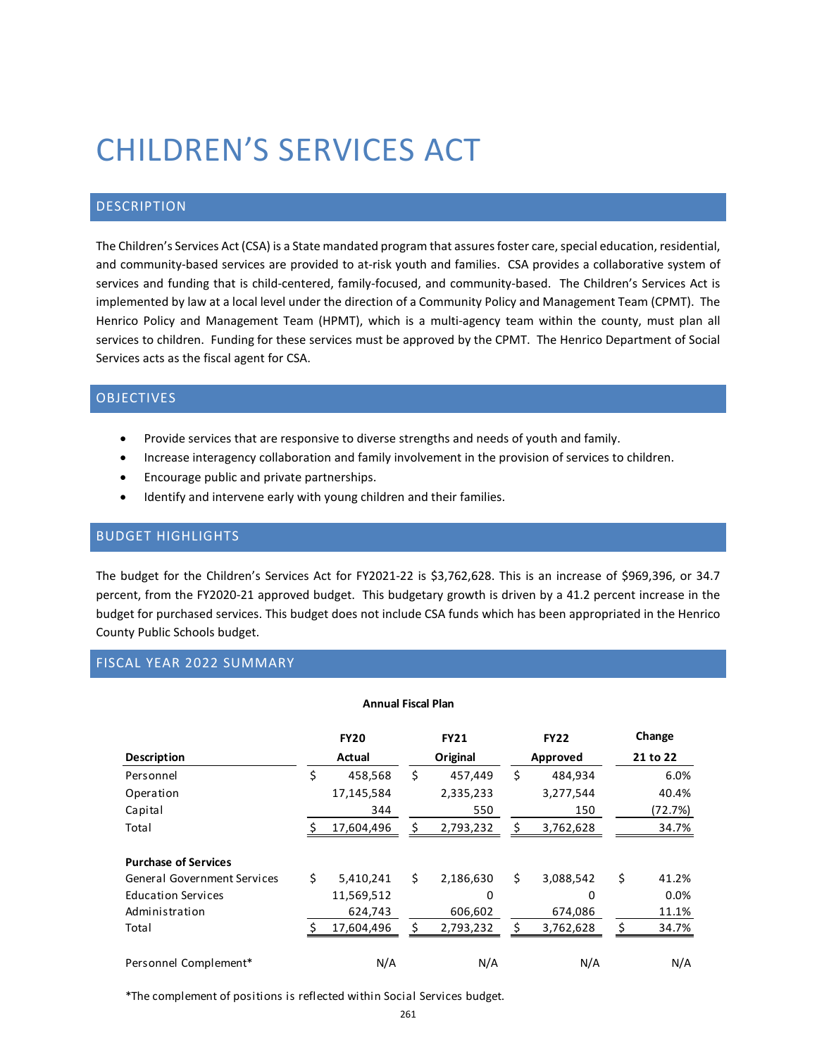# CHILDREN'S SERVICES ACT

## DESCRIPTION

The Children's Services Act (CSA) is a State mandated program that assures foster care, special education, residential, and community-based services are provided to at-risk youth and families. CSA provides a collaborative system of services and funding that is child-centered, family-focused, and community-based. The Children's Services Act is implemented by law at a local level under the direction of a Community Policy and Management Team (CPMT). The Henrico Policy and Management Team (HPMT), which is a multi-agency team within the county, must plan all services to children. Funding for these services must be approved by the CPMT. The Henrico Department of Social Services acts as the fiscal agent for CSA.

# OBJECTIVES

- Provide services that are responsive to diverse strengths and needs of youth and family.
- Increase interagency collaboration and family involvement in the provision of services to children.
- **•** Encourage public and private partnerships.
- Identify and intervene early with young children and their families.

## BUDGET HIGHLIGHTS

The budget for the Children's Services Act for FY2021-22 is \$3,762,628. This is an increase of \$969,396, or 34.7 percent, from the FY2020-21 approved budget. This budgetary growth is driven by a 41.2 percent increase in the budget for purchased services. This budget does not include CSA funds which has been appropriated in the Henrico County Public Schools budget.

## FISCAL YEAR 2022 SUMMARY

#### **Annual Fiscal Plan**

|                                    | <b>FY20</b>     |    | <b>FY21</b> | <b>FY22</b>     | Change      |
|------------------------------------|-----------------|----|-------------|-----------------|-------------|
| <b>Description</b>                 | Actual          |    | Original    | Approved        | 21 to 22    |
| Personnel                          | \$<br>458,568   | \$ | 457,449     | \$<br>484,934   | 6.0%        |
| Operation                          | 17,145,584      |    | 2,335,233   | 3,277,544       | 40.4%       |
| Capital                            | 344             |    | 550         | 150             | (72.7%)     |
| Total                              | 17,604,496      | \$ | 2,793,232   | 3,762,628       | 34.7%       |
| <b>Purchase of Services</b>        |                 |    |             |                 |             |
| <b>General Government Services</b> | \$<br>5,410,241 | \$ | 2,186,630   | \$<br>3,088,542 | \$<br>41.2% |
| <b>Education Services</b>          | 11,569,512      |    | 0           | 0               | 0.0%        |
| Administration                     | 624,743         |    | 606,602     | 674,086         | 11.1%       |
| Total                              | 17,604,496      | Ś  | 2,793,232   | 3,762,628       | 34.7%       |
| Personnel Complement*              | N/A             |    | N/A         | N/A             | N/A         |

\*The complement of positions is reflected within Social Services budget.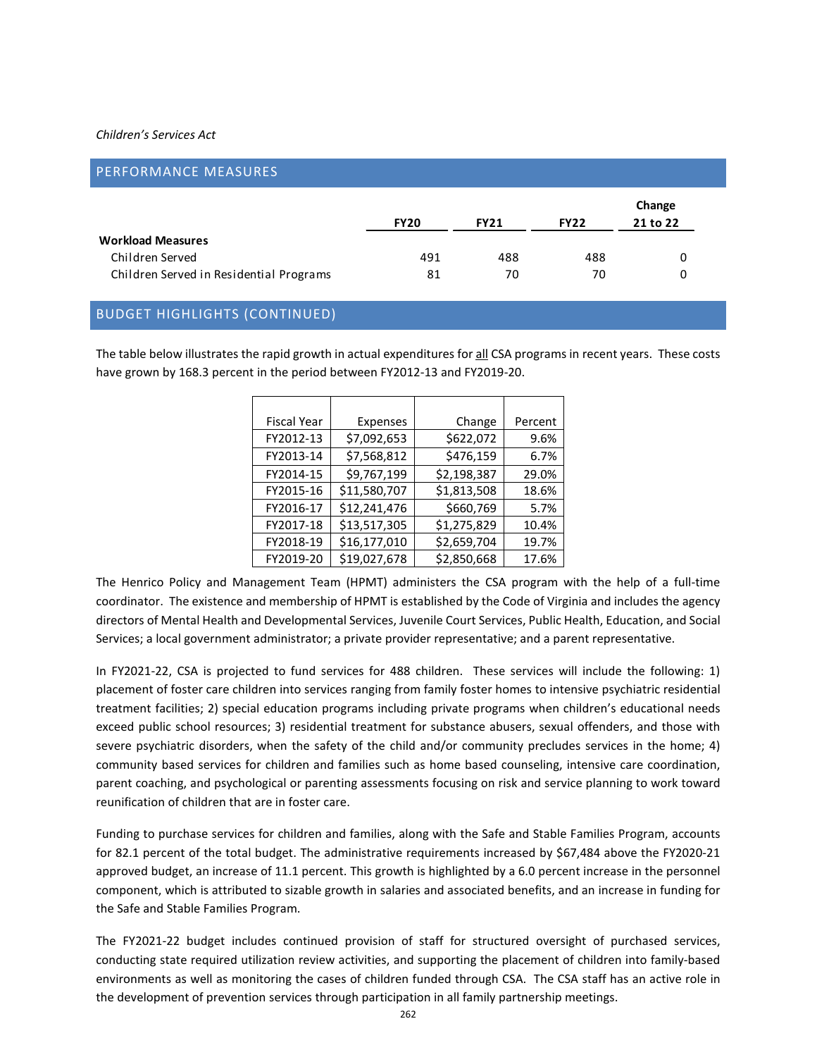#### *Children's Services Act*

| <b>PERFORMANCE MEASURES</b>             |             |             |             |                    |
|-----------------------------------------|-------------|-------------|-------------|--------------------|
|                                         | <b>FY20</b> | <b>FY21</b> | <b>FY22</b> | Change<br>21 to 22 |
| <b>Workload Measures</b>                |             |             |             |                    |
| Children Served                         | 491         | 488         | 488         | 0                  |
| Children Served in Residential Programs | 81          | 70          | 70          | 0                  |

## BUDGET HIGHLIGHTS (CONTINUED)

The table below illustrates the rapid growth in actual expenditures for all CSA programs in recent years. These costs have grown by 168.3 percent in the period between FY2012-13 and FY2019-20.

| <b>Fiscal Year</b> | Expenses     | Change      | Percent |
|--------------------|--------------|-------------|---------|
| FY2012-13          | \$7,092,653  | \$622,072   | 9.6%    |
| FY2013-14          | \$7,568,812  | \$476,159   | 6.7%    |
| FY2014-15          | \$9,767,199  | \$2,198,387 | 29.0%   |
| FY2015-16          | \$11,580,707 | \$1,813,508 | 18.6%   |
| FY2016-17          | \$12,241,476 | \$660,769   | 5.7%    |
| FY2017-18          | \$13,517,305 | \$1,275,829 | 10.4%   |
| FY2018-19          | \$16,177,010 | \$2,659,704 | 19.7%   |
| FY2019-20          | \$19,027,678 | \$2,850,668 | 17.6%   |

The Henrico Policy and Management Team (HPMT) administers the CSA program with the help of a full-time coordinator. The existence and membership of HPMT is established by the Code of Virginia and includes the agency directors of Mental Health and Developmental Services, Juvenile Court Services, Public Health, Education, and Social Services; a local government administrator; a private provider representative; and a parent representative.

In FY2021-22, CSA is projected to fund services for 488 children. These services will include the following: 1) placement of foster care children into services ranging from family foster homes to intensive psychiatric residential treatment facilities; 2) special education programs including private programs when children's educational needs exceed public school resources; 3) residential treatment for substance abusers, sexual offenders, and those with severe psychiatric disorders, when the safety of the child and/or community precludes services in the home; 4) community based services for children and families such as home based counseling, intensive care coordination, parent coaching, and psychological or parenting assessments focusing on risk and service planning to work toward reunification of children that are in foster care.

Funding to purchase services for children and families, along with the Safe and Stable Families Program, accounts for 82.1 percent of the total budget. The administrative requirements increased by \$67,484 above the FY2020-21 approved budget, an increase of 11.1 percent. This growth is highlighted by a 6.0 percent increase in the personnel component, which is attributed to sizable growth in salaries and associated benefits, and an increase in funding for the Safe and Stable Families Program.

The FY2021-22 budget includes continued provision of staff for structured oversight of purchased services, conducting state required utilization review activities, and supporting the placement of children into family-based environments as well as monitoring the cases of children funded through CSA. The CSA staff has an active role in the development of prevention services through participation in all family partnership meetings.